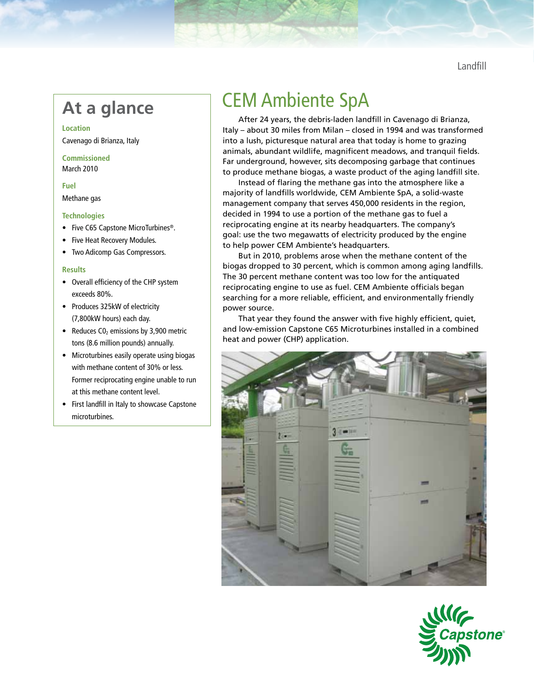Landfill

**Location** Cavenago di Brianza, Italy

**Commissioned** March 2010

## **Fuel**

Methane gas

### **Technologies**

- Five C65 Capstone MicroTurbines®.
- Five Heat Recovery Modules.
- • Two Adicomp Gas Compressors.

### **Results**

- • Overall efficiency of the CHP system exceeds 80%.
- Produces 325kW of electricity (7,800kW hours) each day.
- Reduces  $CO<sub>2</sub>$  emissions by 3,900 metric tons (8.6 million pounds) annually.
- Microturbines easily operate using biogas with methane content of 30% or less. Former reciprocating engine unable to run at this methane content level.
- • First landfill in Italy to showcase Capstone microturbines.

# At a glance **CEM** Ambiente SpA

After 24 years, the debris-laden landfill in Cavenago di Brianza, Italy – about 30 miles from Milan – closed in 1994 and was transformed into a lush, picturesque natural area that today is home to grazing animals, abundant wildlife, magnificent meadows, and tranquil fields. Far underground, however, sits decomposing garbage that continues to produce methane biogas, a waste product of the aging landfill site.

Instead of flaring the methane gas into the atmosphere like a majority of landfills worldwide, CEM Ambiente SpA, a solid-waste management company that serves 450,000 residents in the region, decided in 1994 to use a portion of the methane gas to fuel a reciprocating engine at its nearby headquarters. The company's goal: use the two megawatts of electricity produced by the engine to help power CEM Ambiente's headquarters.

But in 2010, problems arose when the methane content of the biogas dropped to 30 percent, which is common among aging landfills. The 30 percent methane content was too low for the antiquated reciprocating engine to use as fuel. CEM Ambiente officials began searching for a more reliable, efficient, and environmentally friendly power source.

That year they found the answer with five highly efficient, quiet, and low-emission Capstone C65 Microturbines installed in a combined heat and power (CHP) application.